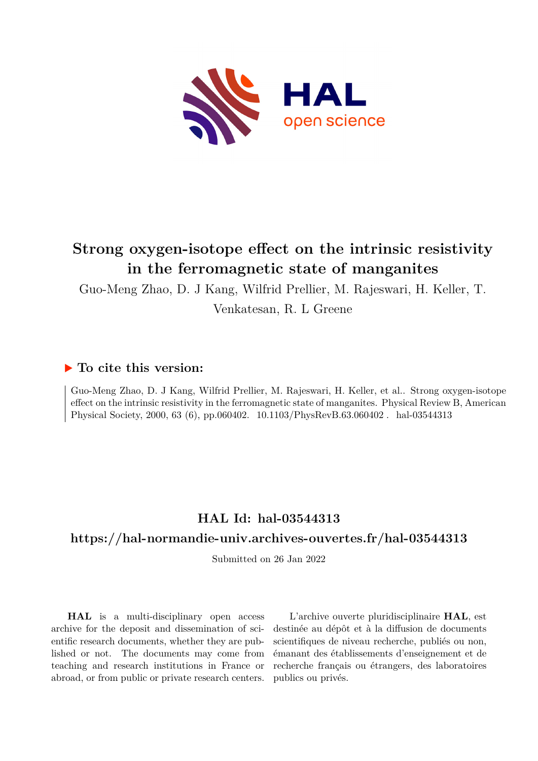

# **Strong oxygen-isotope effect on the intrinsic resistivity in the ferromagnetic state of manganites**

Guo-Meng Zhao, D. J Kang, Wilfrid Prellier, M. Rajeswari, H. Keller, T.

Venkatesan, R. L Greene

#### **To cite this version:**

Guo-Meng Zhao, D. J Kang, Wilfrid Prellier, M. Rajeswari, H. Keller, et al.. Strong oxygen-isotope effect on the intrinsic resistivity in the ferromagnetic state of manganites. Physical Review B, American Physical Society, 2000, 63 $(6)$ , pp.060402. ff10.1103/PhysRevB.63.060402. $% \left( \delta \right)$  . <code>hal-03544313</code>

## **HAL Id: hal-03544313**

### **<https://hal-normandie-univ.archives-ouvertes.fr/hal-03544313>**

Submitted on 26 Jan 2022

**HAL** is a multi-disciplinary open access archive for the deposit and dissemination of scientific research documents, whether they are published or not. The documents may come from teaching and research institutions in France or abroad, or from public or private research centers.

L'archive ouverte pluridisciplinaire **HAL**, est destinée au dépôt et à la diffusion de documents scientifiques de niveau recherche, publiés ou non, émanant des établissements d'enseignement et de recherche français ou étrangers, des laboratoires publics ou privés.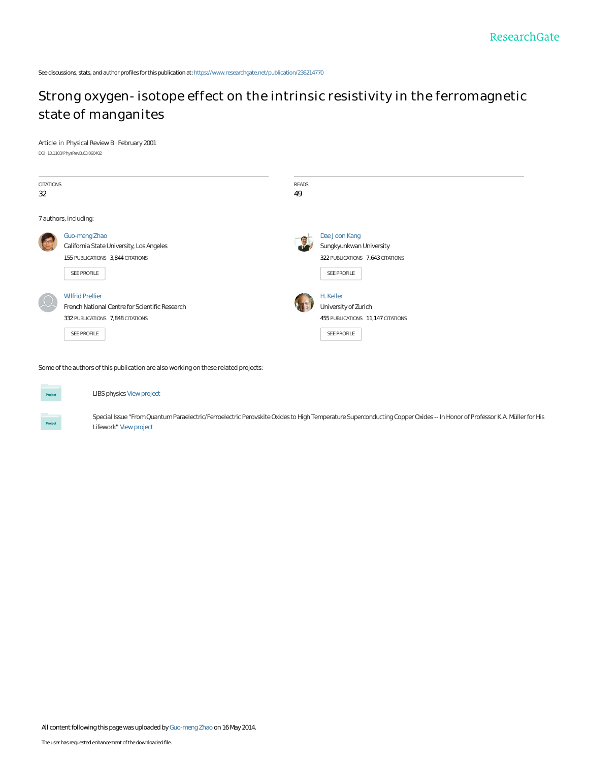See discussions, stats, and author profiles for this publication at: [https://www.researchgate.net/publication/236214770](https://www.researchgate.net/publication/236214770_Strong_oxygen-isotope_effect_on_the_intrinsic_resistivity_in_the_ferromagnetic_state_of_manganites?enrichId=rgreq-318de8a130e6f7ce5a68d6e430dc724d-XXX&enrichSource=Y292ZXJQYWdlOzIzNjIxNDc3MDtBUzo5NzQ3NjgzMjkyMzY1MUAxNDAwMjUxNjk2ODY0&el=1_x_2&_esc=publicationCoverPdf)

## [Strong oxygen-isotope effect on the intrinsic resistivity in the ferromagnetic](https://www.researchgate.net/publication/236214770_Strong_oxygen-isotope_effect_on_the_intrinsic_resistivity_in_the_ferromagnetic_state_of_manganites?enrichId=rgreq-318de8a130e6f7ce5a68d6e430dc724d-XXX&enrichSource=Y292ZXJQYWdlOzIzNjIxNDc3MDtBUzo5NzQ3NjgzMjkyMzY1MUAxNDAwMjUxNjk2ODY0&el=1_x_3&_esc=publicationCoverPdf) state of manganites

**Article** in Physical Review B · February 2001 DOI: 10.1103/PhysRevB.63.060402

| <b>CITATIONS</b><br>32 |                                                                                                                              | READS<br>49 |                                                                                              |
|------------------------|------------------------------------------------------------------------------------------------------------------------------|-------------|----------------------------------------------------------------------------------------------|
|                        | 7 authors, including:                                                                                                        |             |                                                                                              |
|                        | Guo-meng Zhao<br>California State University, Los Angeles<br>155 PUBLICATIONS 3,844 CITATIONS<br>SEE PROFILE                 |             | Dae Joon Kang<br>Sungkyunkwan University<br>322 PUBLICATIONS 7, 643 CITATIONS<br>SEE PROFILE |
|                        | <b>Wilfrid Prellier</b><br>French National Centre for Scientific Research<br>332 PUBLICATIONS 7,848 CITATIONS<br>SEE PROFILE |             | H. Keller<br>University of Zurich<br>455 PUBLICATIONS 11,147 CITATIONS<br>SEE PROFILE        |

**Some of the authors of this publication are also working on these related projects:**



LIBS physics [View project](https://www.researchgate.net/project/LIBS-physics?enrichId=rgreq-318de8a130e6f7ce5a68d6e430dc724d-XXX&enrichSource=Y292ZXJQYWdlOzIzNjIxNDc3MDtBUzo5NzQ3NjgzMjkyMzY1MUAxNDAwMjUxNjk2ODY0&el=1_x_9&_esc=publicationCoverPdf)

Special Issue "From Quantum Paraelectric/Ferroelectric Perovskite Oxides to High Temperature Superconducting Copper Oxides -- In Honor of Professor K.A. Müller for His Lifework" [View project](https://www.researchgate.net/project/Special-Issue-From-Quantum-Paraelectric-Ferroelectric-Perovskite-Oxides-to-High-Temperature-Superconducting-Copper-Oxides--In-Honor-of-Professor-KA-Mueller-for-His-Lifework?enrichId=rgreq-318de8a130e6f7ce5a68d6e430dc724d-XXX&enrichSource=Y292ZXJQYWdlOzIzNjIxNDc3MDtBUzo5NzQ3NjgzMjkyMzY1MUAxNDAwMjUxNjk2ODY0&el=1_x_9&_esc=publicationCoverPdf)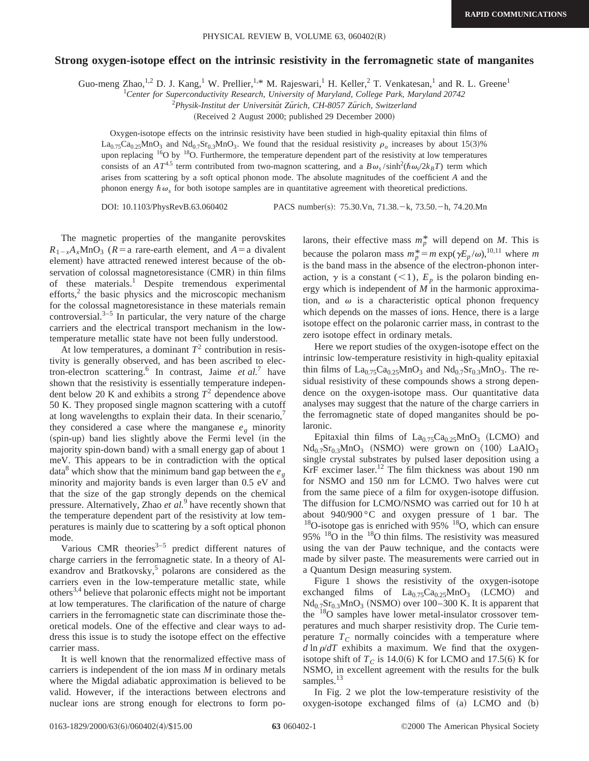#### **Strong oxygen-isotope effect on the intrinsic resistivity in the ferromagnetic state of manganites**

Guo-meng Zhao,<sup>1,2</sup> D. J. Kang,<sup>1</sup> W. Prellier,<sup>1,\*</sup> M. Rajeswari,<sup>1</sup> H. Keller,<sup>2</sup> T. Venkatesan,<sup>1</sup> and R. L. Greene<sup>1</sup>

1 *Center for Superconductivity Research, University of Maryland, College Park, Maryland 20742*

<sup>2</sup>Physik-Institut der Universität Zürich, CH-8057 Zürich, Switzerland

(Received 2 August 2000; published 29 December 2000)

Oxygen-isotope effects on the intrinsic resistivity have been studied in high-quality epitaxial thin films of  $La_{0.75}Ca_{0.25}MnO_3$  and  $Nd_{0.7}Sr_{0.3}MnO_3$ . We found that the residual resistivity  $\rho_o$  increases by about 15(3)% upon replacing  $16$ O by  $18$ O. Furthermore, the temperature dependent part of the resistivity at low temperatures consists of an  $AT^{4.5}$  term contributed from two-magnon scattering, and a  $B\omega_s/\sinh^2(\hbar\omega_s/2k_BT)$  term which arises from scattering by a soft optical phonon mode. The absolute magnitudes of the coefficient *A* and the phonon energy  $\hbar \omega$ , for both isotope samples are in quantitative agreement with theoretical predictions.

DOI: 10.1103/PhysRevB.63.060402 PACS number(s): 75.30.Vn, 71.38. - k, 73.50. - h, 74.20.Mn

The magnetic properties of the manganite perovskites  $R_{1-x}A_xMnO_3$  ( $R=a$  rare-earth element, and  $A=a$  divalent element) have attracted renewed interest because of the observation of colossal magnetoresistance  $(CMR)$  in thin films of these materials.<sup>1</sup> Despite tremendous experimental efforts,<sup>2</sup> the basic physics and the microscopic mechanism for the colossal magnetoresistance in these materials remain controversial. $3-5$  In particular, the very nature of the charge carriers and the electrical transport mechanism in the lowtemperature metallic state have not been fully understood.

At low temperatures, a dominant  $T^2$  contribution in resistivity is generally observed, and has been ascribed to electron-electron scattering.6 In contrast, Jaime *et al.*<sup>7</sup> have shown that the resistivity is essentially temperature independent below 20 K and exhibits a strong  $T^2$  dependence above 50 K. They proposed single magnon scattering with a cutoff at long wavelengths to explain their data. In their scenario, they considered a case where the manganese  $e_g$  minority (spin-up) band lies slightly above the Fermi level (in the majority spin-down band) with a small energy gap of about 1 meV. This appears to be in contradiction with the optical data<sup>8</sup> which show that the minimum band gap between the  $e_g$ minority and majority bands is even larger than 0.5 eV and that the size of the gap strongly depends on the chemical pressure. Alternatively, Zhao *et al.*<sup>9</sup> have recently shown that the temperature dependent part of the resistivity at low temperatures is mainly due to scattering by a soft optical phonon mode.

Various CMR theories $3-5$  predict different natures of charge carriers in the ferromagnetic state. In a theory of Alexandrov and Bratkovsky,<sup>5</sup> polarons are considered as the carriers even in the low-temperature metallic state, while others<sup>3,4</sup> believe that polaronic effects might not be important at low temperatures. The clarification of the nature of charge carriers in the ferromagnetic state can discriminate those theoretical models. One of the effective and clear ways to address this issue is to study the isotope effect on the effective carrier mass.

It is well known that the renormalized effective mass of carriers is independent of the ion mass *M* in ordinary metals where the Migdal adiabatic approximation is believed to be valid. However, if the interactions between electrons and nuclear ions are strong enough for electrons to form po-

larons, their effective mass  $m_p^*$  will depend on *M*. This is because the polaron mass  $m_p^* = m \exp(\gamma E_p / \omega)$ ,<sup>10,11</sup> where *m* is the band mass in the absence of the electron-phonon interaction,  $\gamma$  is a constant (<1),  $E_p$  is the polaron binding energy which is independent of *M* in the harmonic approximation, and  $\omega$  is a characteristic optical phonon frequency which depends on the masses of ions. Hence, there is a large isotope effect on the polaronic carrier mass, in contrast to the zero isotope effect in ordinary metals.

Here we report studies of the oxygen-isotope effect on the intrinsic low-temperature resistivity in high-quality epitaxial thin films of  $La_{0.75}Ca_{0.25}MnO_3$  and  $Nd_{0.7}Sr_{0.3}MnO_3$ . The residual resistivity of these compounds shows a strong dependence on the oxygen-isotope mass. Our quantitative data analyses may suggest that the nature of the charge carriers in the ferromagnetic state of doped manganites should be polaronic.

Epitaxial thin films of  $La_{0.75}Ca_{0.25}MnO_3$  (LCMO) and  $Nd_{0.7}Sr_{0.3}MnO_3$  (NSMO) were grown on  $\langle 100 \rangle$  LaAlO<sub>3</sub> single crystal substrates by pulsed laser deposition using a KrF excimer laser.<sup>12</sup> The film thickness was about 190 nm for NSMO and 150 nm for LCMO. Two halves were cut from the same piece of a film for oxygen-isotope diffusion. The diffusion for LCMO/NSMO was carried out for 10 h at about  $940/900$  °C and oxygen pressure of 1 bar. The  $18$ O-isotope gas is enriched with 95%  $18$ O, which can ensure 95%  $18$ O in the  $18$ O thin films. The resistivity was measured using the van der Pauw technique, and the contacts were made by silver paste. The measurements were carried out in a Quantum Design measuring system.

Figure 1 shows the resistivity of the oxygen-isotope exchanged films of  $La_{0.75}Ca_{0.25}MnO_3$  (LCMO) and  $Nd_{0.7}Sr_{0.3}MnO_3$  (NSMO) over 100–300 K. It is apparent that the <sup>18</sup>O samples have lower metal-insulator crossover temperatures and much sharper resistivity drop. The Curie temperature  $T_c$  normally coincides with a temperature where  $d \ln \rho/dT$  exhibits a maximum. We find that the oxygenisotope shift of  $T_c$  is 14.0(6) K for LCMO and 17.5(6) K for NSMO, in excellent agreement with the results for the bulk samples.<sup>13</sup>

In Fig. 2 we plot the low-temperature resistivity of the  $oxygen-isotope exchanged films of (a) LCMO and (b)$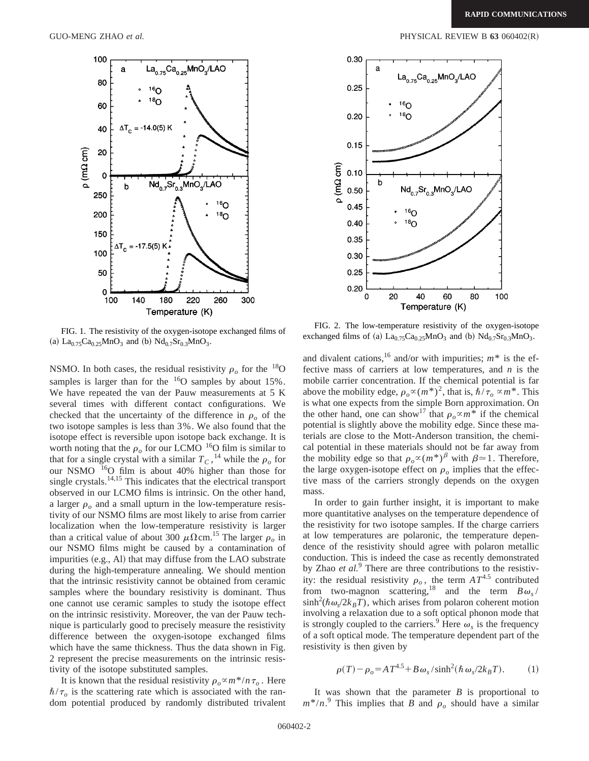

FIG. 1. The resistivity of the oxygen-isotope exchanged films of (a)  $La_{0.75}Ca_{0.25}MnO_3$  and (b)  $Nd_{0.7}Sr_{0.3}MnO_3$ .

NSMO. In both cases, the residual resistivity  $\rho_o$  for the <sup>18</sup>O samples is larger than for the  $16$ O samples by about 15%. We have repeated the van der Pauw measurements at 5 K several times with different contact configurations. We checked that the uncertainty of the difference in  $\rho_0$  of the two isotope samples is less than 3%. We also found that the isotope effect is reversible upon isotope back exchange. It is worth noting that the  $\rho_o$  for our LCMO <sup>16</sup>O film is similar to that for a single crystal with a similar  $T_c$ , <sup>14</sup> while the  $\rho_o$  for our NSMO 16O film is about 40% higher than those for single crystals.<sup>14,15</sup> This indicates that the electrical transport observed in our LCMO films is intrinsic. On the other hand, a larger  $\rho$  and a small upturn in the low-temperature resistivity of our NSMO films are most likely to arise from carrier localization when the low-temperature resistivity is larger than a critical value of about 300  $\mu \Omega$ cm.<sup>15</sup> The larger  $\rho_o$  in our NSMO films might be caused by a contamination of impurities  $(e.g., A1)$  that may diffuse from the LAO substrate during the high-temperature annealing. We should mention that the intrinsic resistivity cannot be obtained from ceramic samples where the boundary resistivity is dominant. Thus one cannot use ceramic samples to study the isotope effect on the intrinsic resistivity. Moreover, the van der Pauw technique is particularly good to precisely measure the resistivity difference between the oxygen-isotope exchanged films which have the same thickness. Thus the data shown in Fig. 2 represent the precise measurements on the intrinsic resistivity of the isotope substituted samples.

It is known that the residual resistivity  $\rho_o \propto m^*/n \tau_o$ . Here  $\hbar/\tau_o$  is the scattering rate which is associated with the random potential produced by randomly distributed trivalent

GUO-MENG ZHAO *et al.*  $PHYSICAL REVIEW B 63 060402(R)$ 



FIG. 2. The low-temperature resistivity of the oxygen-isotope exchanged films of (a)  $La_{0.75}Ca_{0.25}MnO_3$  and (b)  $Nd_{0.7}Sr_{0.3}MnO_3$ .

and divalent cations,<sup>16</sup> and/or with impurities;  $m^*$  is the effective mass of carriers at low temperatures, and *n* is the mobile carrier concentration. If the chemical potential is far above the mobility edge,  $\rho_o \propto (m^*)^2$ , that is,  $\hbar / \tau_o \propto m^*$ . This is what one expects from the simple Born approximation. On the other hand, one can show<sup>17</sup> that  $\rho_o \propto m^*$  if the chemical potential is slightly above the mobility edge. Since these materials are close to the Mott-Anderson transition, the chemical potential in these materials should not be far away from the mobility edge so that  $\rho_{o} \propto (m^*)^{\beta}$  with  $\beta \approx 1$ . Therefore, the large oxygen-isotope effect on  $\rho$  implies that the effective mass of the carriers strongly depends on the oxygen mass.

In order to gain further insight, it is important to make more quantitative analyses on the temperature dependence of the resistivity for two isotope samples. If the charge carriers at low temperatures are polaronic, the temperature dependence of the resistivity should agree with polaron metallic conduction. This is indeed the case as recently demonstrated by Zhao *et al.*<sup>9</sup> There are three contributions to the resistivity: the residual resistivity  $\rho_o$ , the term  $AT^{4.5}$  contributed from two-magnon scattering,<sup>18</sup> and the term  $B\omega_s/$  $\sinh^2(\hbar \omega_s/2k_BT)$ , which arises from polaron coherent motion involving a relaxation due to a soft optical phonon mode that is strongly coupled to the carriers.<sup>9</sup> Here  $\omega_s$  is the frequency of a soft optical mode. The temperature dependent part of the resistivity is then given by

$$
\rho(T) - \rho_o = AT^{4.5} + B\omega_s/\sinh^2(\hbar\omega_s/2k_BT). \tag{1}
$$

It was shown that the parameter *B* is proportional to  $m^*/n$ <sup>9</sup>. This implies that *B* and  $\rho_o$  should have a similar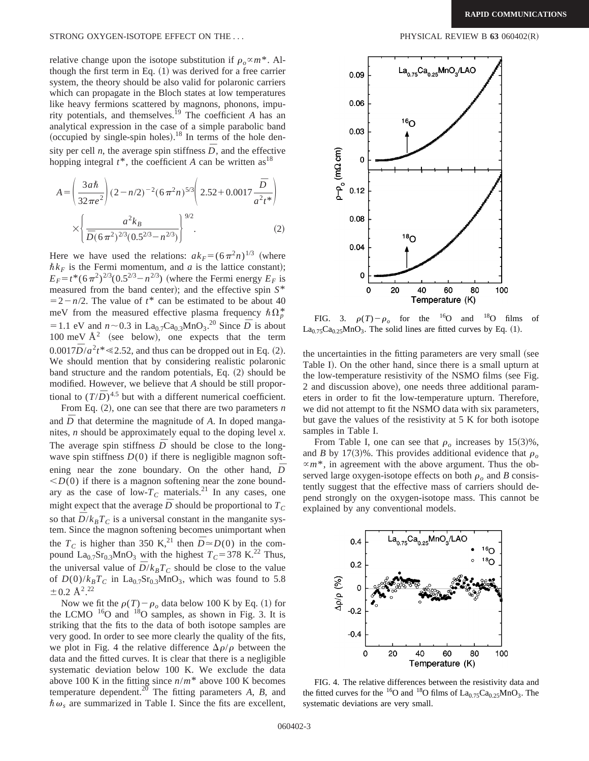#### STRONG OXYGEN-ISOTOPE EFFECT ON THE ... **PHYSICAL REVIEW B 63** 060402(R)

relative change upon the isotope substitution if  $\rho_{o} \propto m^*$ . Although the first term in Eq.  $(1)$  was derived for a free carrier system, the theory should be also valid for polaronic carriers which can propagate in the Bloch states at low temperatures like heavy fermions scattered by magnons, phonons, impurity potentials, and themselves.19 The coefficient *A* has an analytical expression in the case of a simple parabolic band (occupied by single-spin holes).<sup>18</sup> In terms of the hole density per cell *n*, the average spin stiffness  $\overline{D}$ , and the effective hopping integral  $t^*$ , the coefficient *A* can be written as<sup>18</sup>

$$
A = \left(\frac{3a\hbar}{32\pi e^2}\right) (2 - n/2)^{-2} (6\pi^2 n)^{5/3} \left(2.52 + 0.0017 \frac{\bar{D}}{a^2 t^*}\right)
$$

$$
\times \left\{\frac{a^2 k_B}{\bar{D}(6\pi^2)^{2/3} (0.5^{2/3} - n^{2/3})}\right\}^{9/2}.
$$
 (2)

Here we have used the relations:  $ak_F = (6\pi^2 n)^{1/3}$  (where  $\hbar k_F$  is the Fermi momentum, and *a* is the lattice constant);  $E_F = t^* (6\pi^2)^{2/3} (0.5^{2/3} - n^{2/3})$  (where the Fermi energy  $E_F$  is measured from the band center); and the effective spin  $S^*$  $=2-n/2$ . The value of  $t^*$  can be estimated to be about 40 meV from the measured effective plasma frequency  $\hbar \Omega_p^*$  $= 1.1$  eV and  $n \sim 0.3$  in La<sub>0.7</sub>Ca<sub>0.3</sub>MnO<sub>3</sub>.<sup>20</sup> Since  $\overline{D}$  is about 100 meV  $\AA^2$  (see below), one expects that the term  $0.0017\overline{D}/a^2t^* \le 2.52$ , and thus can be dropped out in Eq. (2). We should mention that by considering realistic polaronic band structure and the random potentials, Eq.  $(2)$  should be modified. However, we believe that *A* should be still proportional to  $(T/\overline{D})^{4.5}$  but with a different numerical coefficient.

From Eq.  $(2)$ , one can see that there are two parameters *n* and  $\overline{D}$  that determine the magnitude of  $A$ . In doped manganites, *n* should be approximately equal to the doping level *x*. The average spin stiffness  $\overline{D}$  should be close to the longwave spin stiffness  $D(0)$  if there is negligible magnon softening near the zone boundary. On the other hand,  $\bar{D}$  $\langle D(0)$  if there is a magnon softening near the zone boundary as the case of low- $T_c$  materials.<sup>21</sup> In any cases, one might expect that the average  $\bar{D}$  should be proportional to  $T_C$ so that  $\bar{D}/k_B T_C$  is a universal constant in the manganite system. Since the magnon softening becomes unimportant when the  $T_C$  is higher than 350 K,<sup>21</sup> then  $\overline{D} \approx D(0)$  in the compound La<sub>0.7</sub>Sr<sub>0.3</sub>MnO<sub>3</sub> with the highest  $T_C$ =378 K.<sup>22</sup> Thus, the universal value of  $\bar{D}/k_B T_C$  should be close to the value of  $D(0)/k_B T_C$  in La<sub>0.7</sub>Sr<sub>0.3</sub>MnO<sub>3</sub>, which was found to 5.8  $\pm$  0.2 Å<sup>2</sup>.<sup>22</sup>

Now we fit the  $\rho(T) - \rho_o$  data below 100 K by Eq. (1) for the LCMO  $16$ O and  $18$ O samples, as shown in Fig. 3. It is striking that the fits to the data of both isotope samples are very good. In order to see more clearly the quality of the fits, we plot in Fig. 4 the relative difference  $\Delta \rho / \rho$  between the data and the fitted curves. It is clear that there is a negligible systematic deviation below 100 K. We exclude the data above 100 K in the fitting since *n*/*m*\* above 100 K becomes temperature dependent.20 The fitting parameters *A*, *B*, and  $\hbar \omega$ , are summarized in Table I. Since the fits are excellent,



FIG. 3.  $\rho(T) - \rho_o$  for the <sup>16</sup>O and <sup>18</sup>O films of  $La_{0.75}Ca_{0.25}MnO_3$ . The solid lines are fitted curves by Eq. (1).

the uncertainties in the fitting parameters are very small (see Table I). On the other hand, since there is a small upturn at the low-temperature resistivity of the NSMO films (see Fig. 2 and discussion above), one needs three additional parameters in order to fit the low-temperature upturn. Therefore, we did not attempt to fit the NSMO data with six parameters, but gave the values of the resistivity at 5 K for both isotope samples in Table I.

From Table I, one can see that  $\rho_o$  increases by 15(3)%, and *B* by 17(3)%. This provides additional evidence that  $\rho_o$  $\propto m^*$ , in agreement with the above argument. Thus the observed large oxygen-isotope effects on both  $\rho_o$  and *B* consistently suggest that the effective mass of carriers should depend strongly on the oxygen-isotope mass. This cannot be explained by any conventional models.



FIG. 4. The relative differences between the resistivity data and the fitted curves for the <sup>16</sup>O and <sup>18</sup>O films of  $La_{0.75}Ca_{0.25}MnO_3$ . The systematic deviations are very small.